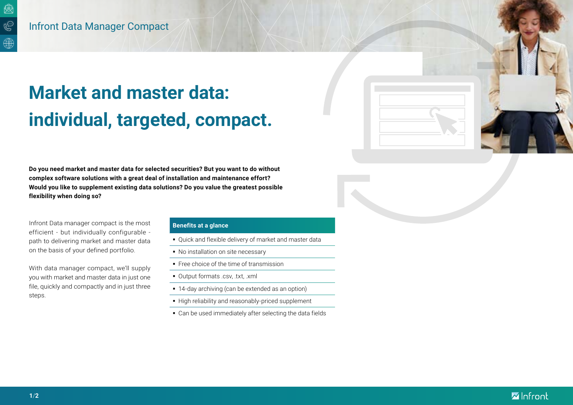# **Market and master data: individual, targeted, compact.**

**Do you need market and master data for selected securities? But you want to do without complex software solutions with a great deal of installation and maintenance effort? Would you like to supplement existing data solutions? Do you value the greatest possible flexibility when doing so?**

Infront Data manager compact is the most efficient - but individually configurable path to delivering market and master data on the basis of your defined portfolio.

With data manager compact, we'll supply you with market and master data in just one file, quickly and compactly and in just three steps.

# **Benefits at a glance**

- Quick and flexible delivery of market and master data
- No installation on site necessary
- **Free choice of the time of transmission**
- Output formats .csv, .txt, .xml
- 14-day archiving (can be extended as an option)
- High reliability and reasonably-priced supplement
- Can be used immediately after selecting the data fields